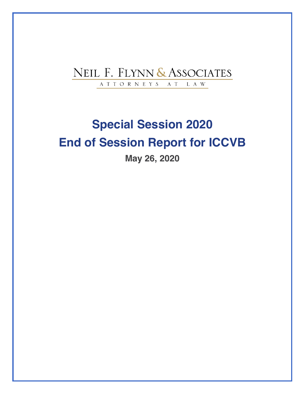## NEIL F. FLYNN & ASSOCIATES ATTORNEYS AT  ${\rm L}$  A  ${\rm W}$

# **Special Session 2020 End of Session Report for ICCVB**

**May 26, 2020**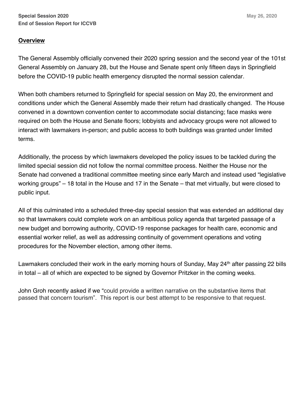## **Overview**

The General Assembly officially convened their 2020 spring session and the second year of the 101st General Assembly on January 28, but the House and Senate spent only fifteen days in Springfield before the COVID-19 public health emergency disrupted the normal session calendar.

When both chambers returned to Springfield for special session on May 20, the environment and conditions under which the General Assembly made their return had drastically changed. The House convened in a downtown convention center to accommodate social distancing; face masks were required on both the House and Senate floors; lobbyists and advocacy groups were not allowed to interact with lawmakers in-person; and public access to both buildings was granted under limited terms.

Additionally, the process by which lawmakers developed the policy issues to be tackled during the limited special session did not follow the normal committee process. Neither the House nor the Senate had convened a traditional committee meeting since early March and instead used "legislative working groups" – 18 total in the House and 17 in the Senate – that met virtually, but were closed to public input.

All of this culminated into a scheduled three-day special session that was extended an additional day so that lawmakers could complete work on an ambitious policy agenda that targeted passage of a new budget and borrowing authority, COVID-19 response packages for health care, economic and essential worker relief, as well as addressing continuity of government operations and voting procedures for the November election, among other items.

Lawmakers concluded their work in the early morning hours of Sunday, May 24<sup>th</sup> after passing 22 bills in total – all of which are expected to be signed by Governor Pritzker in the coming weeks.

John Groh recently asked if we "could provide a written narrative on the substantive items that passed that concern tourism". This report is our best attempt to be responsive to that request.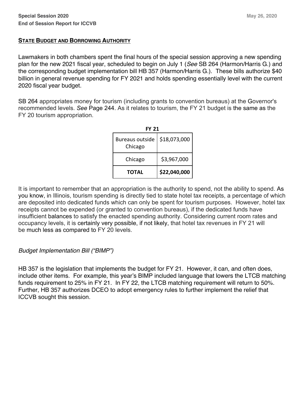### **STATE BUDGET AND BORROWING AUTHORITY**

Lawmakers in both chambers spent the final hours of the special session approving a new spending plan for the new 2021 fiscal year, scheduled to begin on July 1 (*See* SB 264 (Harmon/Harris G.) and the corresponding budget implementation bill HB 357 (Harmon/Harris G.). These bills authorize \$40 billion in general revenue spending for FY 2021 and holds spending essentially level with the current 2020 fiscal year budget.

SB 264 appropriates money for tourism (including grants to convention bureaus) at the Governor's recommended levels. *See* Page 244. As it relates to tourism, the FY 21 budget is the same as the FY 20 tourism appropriation.

| <b>FY 21</b>               |              |
|----------------------------|--------------|
| Bureaus outside<br>Chicago | \$18,073,000 |
| Chicago                    | \$3,967,000  |
| <b>TOTAL</b>               | \$22,040,000 |

It is important to remember that an appropriation is the authority to spend, not the ability to spend. As you know, in Illinois, tourism spending is directly tied to state hotel tax receipts, a percentage of which are deposited into dedicated funds which can only be spent for tourism purposes. However, hotel tax receipts cannot be expended (or granted to convention bureaus), if the dedicated funds have insufficient balances to satisfy the enacted spending authority. Considering current room rates and occupancy levels, it is certainly very possible, if not likely, that hotel tax revenues in FY 21 will be much less as compared to FY 20 levels.

## *Budget Implementation Bill ("BIMP")*

HB 357 is the legislation that implements the budget for FY 21. However, it can, and often does, include other items. For example, this year's BIMP included language that lowers the LTCB matching funds requirement to 25% in FY 21. In FY 22, the LTCB matching requirement will return to 50%. Further, HB 357 authorizes DCEO to adopt emergency rules to further implement the relief that ICCVB sought this session.